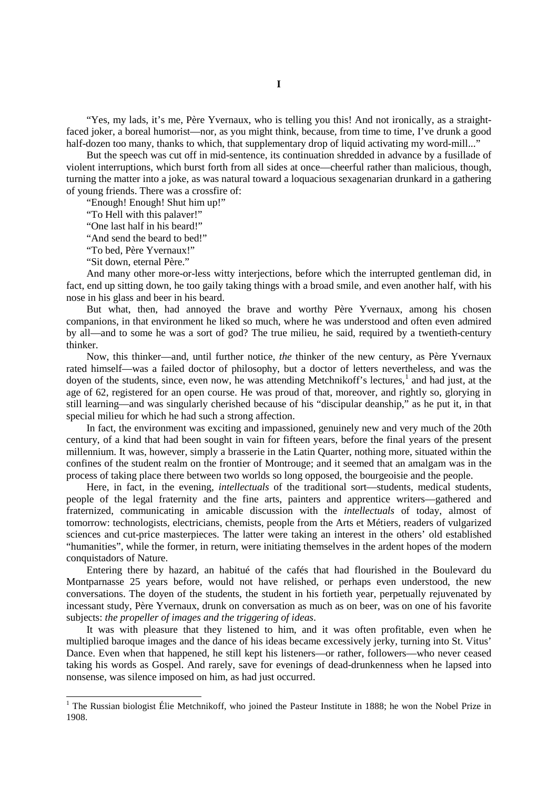"Yes, my lads, it's me, Père Yvernaux, who is telling you this! And not ironically, as a straightfaced joker, a boreal humorist—nor, as you might think, because, from time to time, I've drunk a good half-dozen too many, thanks to which, that supplementary drop of liquid activating my word-mill..."

But the speech was cut off in mid-sentence, its continuation shredded in advance by a fusillade of violent interruptions, which burst forth from all sides at once—cheerful rather than malicious, though, turning the matter into a joke, as was natural toward a loquacious sexagenarian drunkard in a gathering of young friends. There was a crossfire of:

"Enough! Enough! Shut him up!"

"To Hell with this palaver!"

"One last half in his beard!"

"And send the beard to bed!"

"To bed, Père Yvernaux!"

"Sit down, eternal Père."

And many other more-or-less witty interjections, before which the interrupted gentleman did, in fact, end up sitting down, he too gaily taking things with a broad smile, and even another half, with his nose in his glass and beer in his beard.

But what, then, had annoyed the brave and worthy Père Yvernaux, among his chosen companions, in that environment he liked so much, where he was understood and often even admired by all—and to some he was a sort of god? The true milieu, he said, required by a twentieth-century thinker.

Now, this thinker—and, until further notice, *the* thinker of the new century, as Père Yvernaux rated himself—was a failed doctor of philosophy, but a doctor of letters nevertheless, and was the doyen of the students, since, even now, he was attending Metchnikoff's lectures,<sup>[1](#page-0-0)</sup> and had just, at the age of 62, registered for an open course. He was proud of that, moreover, and rightly so, glorying in still learning—and was singularly cherished because of his "discipular deanship," as he put it, in that special milieu for which he had such a strong affection.

In fact, the environment was exciting and impassioned, genuinely new and very much of the 20th century, of a kind that had been sought in vain for fifteen years, before the final years of the present millennium. It was, however, simply a brasserie in the Latin Quarter, nothing more, situated within the confines of the student realm on the frontier of Montrouge; and it seemed that an amalgam was in the process of taking place there between two worlds so long opposed, the bourgeoisie and the people.

Here, in fact, in the evening, *intellectuals* of the traditional sort—students, medical students, people of the legal fraternity and the fine arts, painters and apprentice writers—gathered and fraternized, communicating in amicable discussion with the *intellectuals* of today, almost of tomorrow: technologists, electricians, chemists, people from the Arts et Métiers, readers of vulgarized sciences and cut-price masterpieces. The latter were taking an interest in the others' old established "humanities", while the former, in return, were initiating themselves in the ardent hopes of the modern conquistadors of Nature.

Entering there by hazard, an habitué of the cafés that had flourished in the Boulevard du Montparnasse 25 years before, would not have relished, or perhaps even understood, the new conversations. The doyen of the students, the student in his fortieth year, perpetually rejuvenated by incessant study, Père Yvernaux, drunk on conversation as much as on beer, was on one of his favorite subjects: *the propeller of images and the triggering of ideas*.

It was with pleasure that they listened to him, and it was often profitable, even when he multiplied baroque images and the dance of his ideas became excessively jerky, turning into St. Vitus' Dance. Even when that happened, he still kept his listeners—or rather, followers—who never ceased taking his words as Gospel. And rarely, save for evenings of dead-drunkenness when he lapsed into nonsense, was silence imposed on him, as had just occurred.

<span id="page-0-0"></span><sup>&</sup>lt;sup>1</sup> The Russian biologist Élie Metchnikoff, who joined the Pasteur Institute in 1888; he won the Nobel Prize in 1908.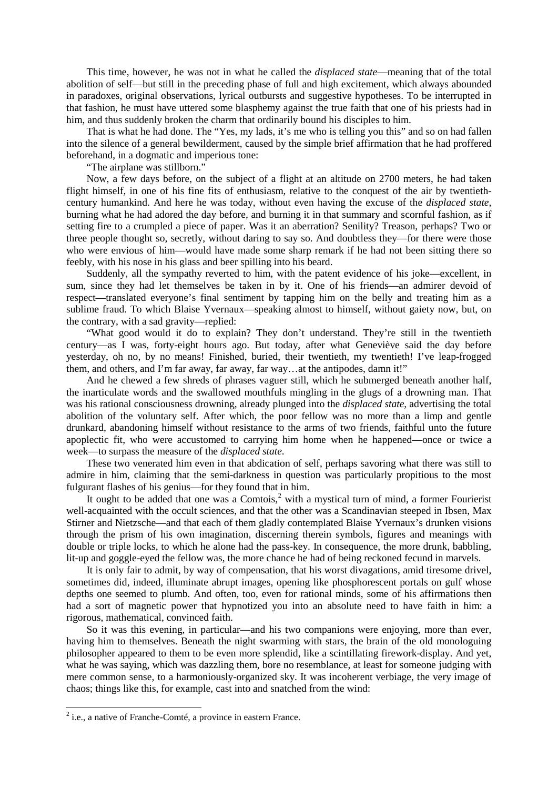This time, however, he was not in what he called the *displaced state*—meaning that of the total abolition of self—but still in the preceding phase of full and high excitement, which always abounded in paradoxes, original observations, lyrical outbursts and suggestive hypotheses. To be interrupted in that fashion, he must have uttered some blasphemy against the true faith that one of his priests had in him, and thus suddenly broken the charm that ordinarily bound his disciples to him.

That is what he had done. The "Yes, my lads, it's me who is telling you this" and so on had fallen into the silence of a general bewilderment, caused by the simple brief affirmation that he had proffered beforehand, in a dogmatic and imperious tone:

"The airplane was stillborn."

Now, a few days before, on the subject of a flight at an altitude on 2700 meters, he had taken flight himself, in one of his fine fits of enthusiasm, relative to the conquest of the air by twentiethcentury humankind. And here he was today, without even having the excuse of the *displaced state*, burning what he had adored the day before, and burning it in that summary and scornful fashion, as if setting fire to a crumpled a piece of paper. Was it an aberration? Senility? Treason, perhaps? Two or three people thought so, secretly, without daring to say so. And doubtless they—for there were those who were envious of him—would have made some sharp remark if he had not been sitting there so feebly, with his nose in his glass and beer spilling into his beard.

Suddenly, all the sympathy reverted to him, with the patent evidence of his joke—excellent, in sum, since they had let themselves be taken in by it. One of his friends—an admirer devoid of respect—translated everyone's final sentiment by tapping him on the belly and treating him as a sublime fraud. To which Blaise Yvernaux—speaking almost to himself, without gaiety now, but, on the contrary, with a sad gravity—replied:

"What good would it do to explain? They don't understand. They're still in the twentieth century—as I was, forty-eight hours ago. But today, after what Geneviève said the day before yesterday, oh no, by no means! Finished, buried, their twentieth, my twentieth! I've leap-frogged them, and others, and I'm far away, far away, far way…at the antipodes, damn it!"

And he chewed a few shreds of phrases vaguer still, which he submerged beneath another half, the inarticulate words and the swallowed mouthfuls mingling in the glugs of a drowning man. That was his rational consciousness drowning, already plunged into the *displaced state*, advertising the total abolition of the voluntary self. After which, the poor fellow was no more than a limp and gentle drunkard, abandoning himself without resistance to the arms of two friends, faithful unto the future apoplectic fit, who were accustomed to carrying him home when he happened—once or twice a week—to surpass the measure of the *displaced state*.

These two venerated him even in that abdication of self, perhaps savoring what there was still to admire in him, claiming that the semi-darkness in question was particularly propitious to the most fulgurant flashes of his genius—for they found that in him.

It ought to be added that one was a Comtois, $2$  with a mystical turn of mind, a former Fourierist well-acquainted with the occult sciences, and that the other was a Scandinavian steeped in Ibsen, Max Stirner and Nietzsche—and that each of them gladly contemplated Blaise Yvernaux's drunken visions through the prism of his own imagination, discerning therein symbols, figures and meanings with double or triple locks, to which he alone had the pass-key. In consequence, the more drunk, babbling, lit-up and goggle-eyed the fellow was, the more chance he had of being reckoned fecund in marvels.

It is only fair to admit, by way of compensation, that his worst divagations, amid tiresome drivel, sometimes did, indeed, illuminate abrupt images, opening like phosphorescent portals on gulf whose depths one seemed to plumb. And often, too, even for rational minds, some of his affirmations then had a sort of magnetic power that hypnotized you into an absolute need to have faith in him: a rigorous, mathematical, convinced faith.

So it was this evening, in particular—and his two companions were enjoying, more than ever, having him to themselves. Beneath the night swarming with stars, the brain of the old monologuing philosopher appeared to them to be even more splendid, like a scintillating firework-display. And yet, what he was saying, which was dazzling them, bore no resemblance, at least for someone judging with mere common sense, to a harmoniously-organized sky. It was incoherent verbiage, the very image of chaos; things like this, for example, cast into and snatched from the wind:

<span id="page-1-0"></span> $2$  i.e., a native of Franche-Comté, a province in eastern France.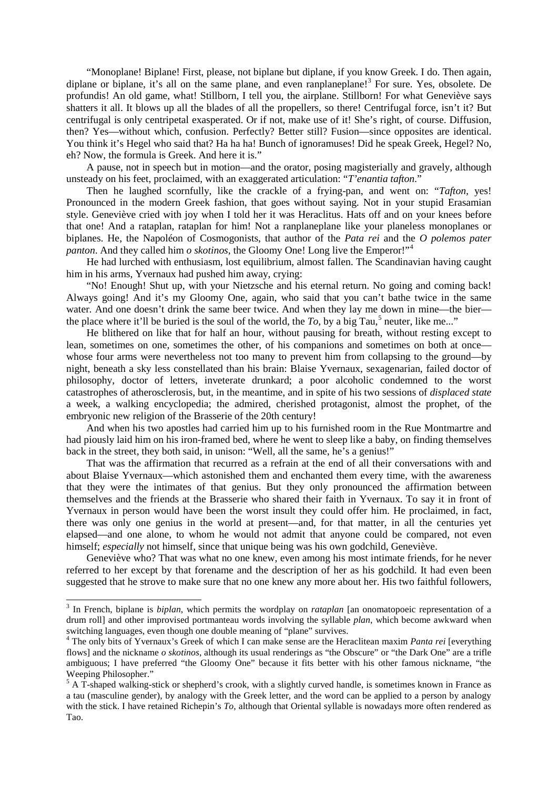"Monoplane! Biplane! First, please, not biplane but diplane, if you know Greek. I do. Then again, diplane or biplane, it's all on the same plane, and even ranplaneplane!<sup>[3](#page-2-0)</sup> For sure. Yes, obsolete. De profundis! An old game, what! Stillborn, I tell you, the airplane. Stillborn! For what Geneviève says shatters it all. It blows up all the blades of all the propellers, so there! Centrifugal force, isn't it? But centrifugal is only centripetal exasperated. Or if not, make use of it! She's right, of course. Diffusion, then? Yes—without which, confusion. Perfectly? Better still? Fusion—since opposites are identical. You think it's Hegel who said that? Ha ha ha! Bunch of ignoramuses! Did he speak Greek, Hegel? No, eh? Now, the formula is Greek. And here it is."

A pause, not in speech but in motion—and the orator, posing magisterially and gravely, although unsteady on his feet, proclaimed, with an exaggerated articulation: "*T'enantia tafton*."

Then he laughed scornfully, like the crackle of a frying-pan, and went on: "*Tafton,* yes! Pronounced in the modern Greek fashion, that goes without saying. Not in your stupid Erasamian style. Geneviève cried with joy when I told her it was Heraclitus. Hats off and on your knees before that one! And a rataplan, rataplan for him! Not a ranplaneplane like your planeless monoplanes or biplanes. He, the Napoléon of Cosmogonists, that author of the *Pata rei* and the *O polemos pater panton*. And they called him *o skotinos*, the Gloomy One! Long live the Emperor!"<sup>[4](#page-2-1)</sup>

He had lurched with enthusiasm, lost equilibrium, almost fallen. The Scandinavian having caught him in his arms, Yvernaux had pushed him away, crying:

"No! Enough! Shut up, with your Nietzsche and his eternal return. No going and coming back! Always going! And it's my Gloomy One, again, who said that you can't bathe twice in the same water. And one doesn't drink the same beer twice. And when they lay me down in mine—the bier the place where it'll be buried is the soul of the world, the  $To$ , by a big Tau,<sup>[5](#page-2-2)</sup> neuter, like me..."

He blithered on like that for half an hour, without pausing for breath, without resting except to lean, sometimes on one, sometimes the other, of his companions and sometimes on both at once whose four arms were nevertheless not too many to prevent him from collapsing to the ground—by night, beneath a sky less constellated than his brain: Blaise Yvernaux, sexagenarian, failed doctor of philosophy, doctor of letters, inveterate drunkard; a poor alcoholic condemned to the worst catastrophes of atherosclerosis, but, in the meantime, and in spite of his two sessions of *displaced state* a week, a walking encyclopedia; the admired, cherished protagonist, almost the prophet, of the embryonic new religion of the Brasserie of the 20th century!

And when his two apostles had carried him up to his furnished room in the Rue Montmartre and had piously laid him on his iron-framed bed, where he went to sleep like a baby, on finding themselves back in the street, they both said, in unison: "Well, all the same, he's a genius!"

That was the affirmation that recurred as a refrain at the end of all their conversations with and about Blaise Yvernaux—which astonished them and enchanted them every time, with the awareness that they were the intimates of that genius. But they only pronounced the affirmation between themselves and the friends at the Brasserie who shared their faith in Yvernaux. To say it in front of Yvernaux in person would have been the worst insult they could offer him. He proclaimed, in fact, there was only one genius in the world at present—and, for that matter, in all the centuries yet elapsed—and one alone, to whom he would not admit that anyone could be compared, not even himself; *especially* not himself, since that unique being was his own godchild, Geneviève.

Geneviève who? That was what no one knew, even among his most intimate friends, for he never referred to her except by that forename and the description of her as his godchild. It had even been suggested that he strove to make sure that no one knew any more about her. His two faithful followers,

<span id="page-2-0"></span> <sup>3</sup> In French, biplane is *biplan*, which permits the wordplay on *rataplan* [an onomatopoeic representation of a drum roll] and other improvised portmanteau words involving the syllable *plan*, which become awkward when switching languages, even though one double meaning of "plane" survives.

<span id="page-2-1"></span><sup>&</sup>lt;sup>4</sup> The only bits of Yvernaux's Greek of which I can make sense are the Heraclitean maxim *Panta rei* [everything flows] and the nickname *o skotinos*, although its usual renderings as "the Obscure" or "the Dark One" are a trifle ambiguous; I have preferred "the Gloomy One" because it fits better with his other famous nickname, "the Weeping Philosopher."

<span id="page-2-2"></span><sup>&</sup>lt;sup>5</sup> A T-shaped walking-stick or shepherd's crook, with a slightly curved handle, is sometimes known in France as a tau (masculine gender), by analogy with the Greek letter, and the word can be applied to a person by analogy with the stick. I have retained Richepin's *To*, although that Oriental syllable is nowadays more often rendered as Tao.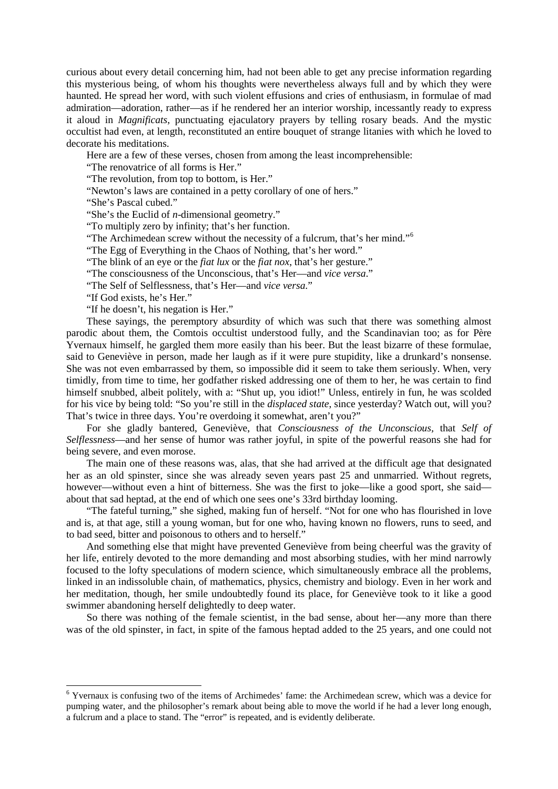curious about every detail concerning him, had not been able to get any precise information regarding this mysterious being, of whom his thoughts were nevertheless always full and by which they were haunted. He spread her word, with such violent effusions and cries of enthusiasm, in formulae of mad admiration—adoration, rather—as if he rendered her an interior worship, incessantly ready to express it aloud in *Magnificats*, punctuating ejaculatory prayers by telling rosary beads. And the mystic occultist had even, at length, reconstituted an entire bouquet of strange litanies with which he loved to decorate his meditations.

Here are a few of these verses, chosen from among the least incomprehensible:

"The renovatrice of all forms is Her."

"The revolution, from top to bottom, is Her."

"Newton's laws are contained in a petty corollary of one of hers."

"She's Pascal cubed."

"She's the Euclid of *n*-dimensional geometry."

"To multiply zero by infinity; that's her function.

"The Archimedean screw without the necessity of a fulcrum, that's her mind."[6](#page-3-0)

"The Egg of Everything in the Chaos of Nothing, that's her word."

"The blink of an eye or the *fiat lux* or the *fiat nox*, that's her gesture."

"The consciousness of the Unconscious, that's Her—and *vice versa*."

"The Self of Selflessness, that's Her—and *vice versa*."

"If God exists, he's Her."

"If he doesn't, his negation is Her."

These sayings, the peremptory absurdity of which was such that there was something almost parodic about them, the Comtois occultist understood fully, and the Scandinavian too; as for Père Yvernaux himself, he gargled them more easily than his beer. But the least bizarre of these formulae, said to Geneviève in person, made her laugh as if it were pure stupidity, like a drunkard's nonsense. She was not even embarrassed by them, so impossible did it seem to take them seriously. When, very timidly, from time to time, her godfather risked addressing one of them to her, he was certain to find himself snubbed, albeit politely, with a: "Shut up, you idiot!" Unless, entirely in fun, he was scolded for his vice by being told: "So you're still in the *displaced state*, since yesterday? Watch out, will you? That's twice in three days. You're overdoing it somewhat, aren't you?"

For she gladly bantered, Geneviève, that *Consciousness of the Unconscious,* that *Self of Selflessness*—and her sense of humor was rather joyful, in spite of the powerful reasons she had for being severe, and even morose.

The main one of these reasons was, alas, that she had arrived at the difficult age that designated her as an old spinster, since she was already seven years past 25 and unmarried. Without regrets, however—without even a hint of bitterness. She was the first to joke—like a good sport, she said about that sad heptad, at the end of which one sees one's 33rd birthday looming.

"The fateful turning," she sighed, making fun of herself. "Not for one who has flourished in love and is, at that age, still a young woman, but for one who, having known no flowers, runs to seed, and to bad seed, bitter and poisonous to others and to herself."

And something else that might have prevented Geneviève from being cheerful was the gravity of her life, entirely devoted to the more demanding and most absorbing studies, with her mind narrowly focused to the lofty speculations of modern science, which simultaneously embrace all the problems, linked in an indissoluble chain, of mathematics, physics, chemistry and biology. Even in her work and her meditation, though, her smile undoubtedly found its place, for Geneviève took to it like a good swimmer abandoning herself delightedly to deep water.

So there was nothing of the female scientist, in the bad sense, about her—any more than there was of the old spinster, in fact, in spite of the famous heptad added to the 25 years, and one could not

<span id="page-3-0"></span> <sup>6</sup> Yvernaux is confusing two of the items of Archimedes' fame: the Archimedean screw, which was a device for pumping water, and the philosopher's remark about being able to move the world if he had a lever long enough, a fulcrum and a place to stand. The "error" is repeated, and is evidently deliberate.